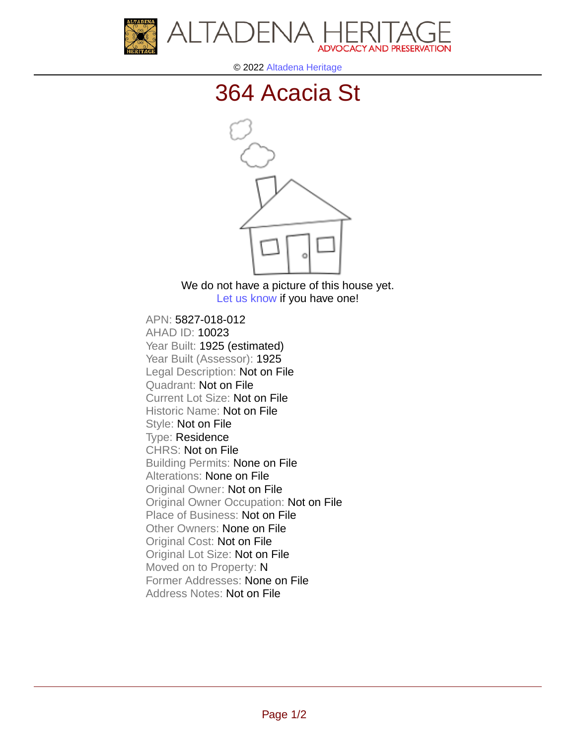



© 2022 [Altadena Heritage](http://altadenaheritage.org/)

## [364 Acacia St](ahad.altadenaheritagepdb.org/properties/10023)



We do not have a picture of this house yet. [Let us know](http://altadenaheritage.org/contact-us/) if you have one!

APN: 5827-018-012 [AHAD ID: 10023](ahad.altadenaheritagepdb.org/properties/10023) Year Built: 1925 (estimated) Year Built (Assessor): 1925 Legal Description: Not on File Quadrant: Not on File Current Lot Size: Not on File Historic Name: Not on File Style: Not on File Type: Residence CHRS: Not on File Building Permits: None on File Alterations: None on File Original Owner: Not on File Original Owner Occupation: Not on File Place of Business: Not on File Other Owners: None on File Original Cost: Not on File Original Lot Size: Not on File Moved on to Property: N Former Addresses: None on File Address Notes: Not on File